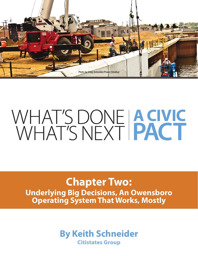

## **Chapter Two: Underlying Big Decisions, An Owensboro Operating System That Works, Mostly**

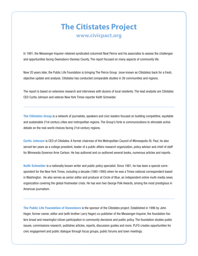### **The Citistates Project www.civicpact.org**

In 1991, the Messenger-Inquirer retained syndicated columnist Neal Peirce and his associates to assess the challenges and opportunities facing Owensboro-Daviess County. The report focused on many aspects of community life.

Now 20 years later, the Public Life Foundation is bringing The Peirce Group (now known as Citistates) back for a fresh, objective update and analysis. Citistates has conducted comparable studies in 26 communities and regions.

The report is based on extensive research and interviews with dozens of local residents. The lead analysts are Citistates CEO Curtis Johnson and veteran New York Times reporter Keith Schneider.

The Citistates Group is a network of journalists, speakers and civic leaders focused on building competitive, equitable and sustainable 21st century cities and metropolitan regions. The Group's forte is communications to stimulate active debate on the real-world choices facing 21st century regions.

Curtis Johnson is CEO of Citistates. A former chairman of the Metropolitan Council of Minneapolis-St. Paul, he also served ten years as a college president, leader of a public affairs research organization, policy advisor and chief of staff for Minnesota Governor Arne Carlson. He has authored and co-authored several books, numerous articles and reports.

Keith Schneider is a nationally known writer and public policy specialist. Since 1981, he has been a special correspondent for the New York Times, including a decade (1985-1995) when he was a Times national correspondent based in Washington. He also serves as senior editor and producer at Circle of Blue, an independent online multi-media news organization covering the global freshwater crisis. He has won two George Polk Awards, among the most prestigious in American journalism.

The Public Life Foundation of Owensboro is the sponsor of the Citistates project. Established in 1996 by John Hager, former owner, editor and (with brother Larry Hager) co-publisher of the Messenger-Inquirer, the foundation fosters broad and meaningful citizen participation in community decisions and public policy. The foundation studies public issues; commissions research; publishes articles, reports, discussion guides and more. PLFO creates opportunities for civic engagement and public dialogue through focus groups, public forums and town meetings.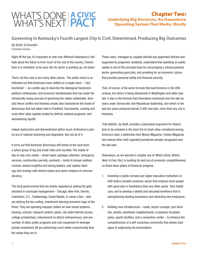#### Chapter Two: Underlying Big Decisions, An Owensboro Operating System That Works, Mostly

**Governing in Kentucky's Fourth Largest City Is Civil, Determined, Producing Big Outcomes**

*By Keith Schneider Citistates Group*

Right off the bat, it's important to note how different Owensboro's attitude about the future is from much of the rest of the country. Owensboro is in transition, to be sure. But its vector is pointing up, not down.

That's not the case in too many other places. The public mood is so hollowed out that Americans have settled on a single word – "dysfunctional" – as a polite way to describe the ideological fanaticism, political ruthlessness, and economic heedlessness that has made the intrinsically messy process of governing the nation unbearable. Similarly fierce conflict and feckless results also characterize the brand of democracy that has taken hold in Frankfort, Sacramento, Lansing and most other state capitals bullied by deficits, slashed programs, and demoralizing layoffs.

Indeed dysfunction and disinvestment define much of America's painful era of national reckoning and stagnation. But not all of it.

It turns out that American democracy still works at the local level, a select group of big and small cities and counties. The reality of day-to-day civic needs – street repair, garbage collection, emergency services, construction permits, contracts – tends to temper political combat, reward insightful and strong leaders, and replace ideology and revenge with shared values and some measure of common decency.

The local governments that are widely regarded as setting the gold standard in municipal management – Chicago, New York, Denver, Charleston, S.C., Chattanooga, Grand Rapids, to name a few – also are defying the tax-cutting, investment-starving economic logic of the times. They are spending taxpayer dollars on new transit systems, housing, schools, research centers, parks, city-wide Internet access, college scholarships, inducements to attract entrepreneurs, and any number of other public programs and civic equipment to leverage private investment. All are performing much better economically than the states they are in.

These cities, managed by capable elected and appointed officials and supported by pragmatic residents, understand that spending on public assets is one of the principal tools for encouraging a strong business sector, generating good jobs, and providing for an economic culture that provides personal safety and financial security.

That, of course, is the same formula that built America in the 20th century, but which is being abandoned in Washington and state capitals. It also is the formula that Owensboro embraced over the last six years under Democratic and Republican leadership, and which in the last two years produced almost 2,400 new jobs, more than any city in Kentucky.

That statistic, by itself, provides a persuasive argument for Owensboro to be included in the short list of small cities considered among America's best, a distinction that *Money Magazine*, *Forbes Magazine*, and several other well-regarded periodicals already recognized over the last year.

Owensboro, as we learned in chapter one of *What's Done, What's Next: A Civic Pact*, is building its next era of economic competitiveness on these basic pillars of American progress:

- 1. Investing in public schools and higher education institutions to both build a durable economic sector that employs more people with good jobs in Owensboro than any other sector than health care, and to develop a skilled and educated workforce that is strengthening existing businesses and attracting new employers.
- 2. Building new infrastructure roads, airport runways, port facilities, streets, downtown neighborhoods, a business incubator, parks, sports facilities, and a convention center – to enhance the competiveness of a self-conscious community that shows clear signs of outgrowing its provincialism.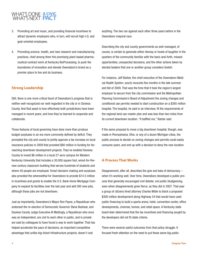- 3. Promoting art and music, and providing financial incentives to attract dynamic employers who, in turn, will recruit high-I.Q. and goal-oriented employees.
- 4. Promoting science, health, and new research and manufacturing practices, chief among them the promising plant-based pharmaceutical contract work at Kentucky BioProcessing, to push the boundaries of innovation and elevate Owensboro's brand as a premier place to live and do business.

#### **Strong Leadership**

Still, there is one more critical facet of Owensboro's progress that is neither well-recognized nor well-regarded in the city or in Daviess County. And that asset is how effectively both jurisdictions have been managed in recent years, and how they've learned to cooperate and collaborate.

Those features of local governing have done more than produce budget surpluses in an era more commonly defined by deficit. They prompted the city and county to jointly approve a tax increase on local insurance policies in 2009 that provided \$80 million in funding for farreaching downtown development projects. They've enabled Daviess County to invest \$6 million in a local 27-acre campus for Western Kentucky University that includes a 30,000 square foot, wired-for-thenew century classroom building that serves hundreds of students and where 40 people are employed. Smart decision-making and surpluses also provided the wherewithal for Owensboro to provide \$14.5 million in incentives and grants to enable the U.S. Bank Home Mortgage Company to expand its facilities over the last year and add 500 new jobs, although those jobs are not downtown.

Just as importantly, Owensboro's Mayor Ron Payne, a Republican who endorsed the re-election of Democratic Governor Steve Beshear, and Daviess County Judge Executive Al Mattingly, a Republican who once was an Independent, are civil to each other in public, and in private are said by colleagues to have found a way to work together. That has helped accelerate the pace of decisions, an important competitive advantage that unlike big-ticket infrastructure projects, doesn't cost

anything. The two ran against each other three years before in the Owensboro mayoral race.

Describing the city and county governments as well-managed, of course, is certain to generate either dismay or howls of laughter in the quarters of the community familiar with the back-and-forth, missed opportunities, unexpected decisions, and the other actions taken by elected leaders that one or another group considers foolish.

For instance, Jeff Barber, the chief executive of the Owensboro Medical Health System, sourly recounts five months in the late summer and fall of 2009. That was the time that it took the region's largest employer to secure from the city commission and the Metropolitan Planning Commission's Board of Adjustment the zoning changes and conditional use permits needed to start construction on a \$385 million hospital. The hospital, he said in an interview, fit the requirements of the regional land use master plan and was less than two miles from its current downtown location. "It baffled me," Barber said.

If the same proposal to move a big downtown hospital, though, was made in Pennsylvania, Ohio, or any of a dozen Michigan cities, the public process to decide on zoning changes and permits could easily consume years, and end up with a decision to deny the new location.

#### **A Process That Works**

Disagreement, after all, describes the give and take of democracy - when it's working well. Over time, Owensboro developed a public process that generally encouraged civil debate, not public bludgeoning, even when disagreements grew fierce, as they did in 2007. That year a group of citizens hired attorney Charles Wible to block a proposed \$300 million development along Highway 54 that would have used public financing to build a sports arena, hotel, convention center, office developments, cinemas, homes, and retail space. A Kentucky state board later determined that the tax incentives and financing sought by the developers did not fit state criteria.

There were several useful outcomes from that policy struggle. It focused fresh attention on the need to put those same big public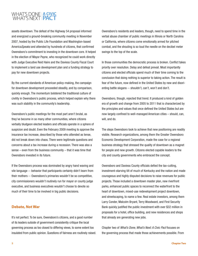assets downtown. The defeat of the Highway 54 proposal informed and energized a ground-breaking community meeting in November 2007, hosted by the Public Life Foundation and Washington-based America*Speaks* and attended by hundreds of citizens, that confirmed Owensboro's commitment to investing in the downtown core. It helped in the election of Mayor Payne, who recognized he could work directly with Judge Executive Reid Haire and the Daviess County Fiscal Court to implement a land use development plan and a funding strategy to pay for new downtown projects.

By the current standards of American policy-making, the campaign for downtown development proceeded steadily, and by comparison, quickly enough. The momentum bolstered the traditional culture of civility in Owensboro's public process, which helped explain why there was such stability in the community's leadership.

Owensboro's public meetings for the most part aren't brutal, as they've become in so many other communities, where citizens verbally bludgeon elected leaders and officials operate in a sphere of suspicion and doubt. Even the February 2009 meeting to approve the insurance tax increase, described by those who attended as tense, did not break down into chaos. There were legitimate questions and concerns about a tax increase during a recession. There was also a sense – even from the business community – that it was time that Owensboro invested in its future.

If the Owensboro process was dominated by angry hand waving and vile language -- behavior that participants certainly didn't learn from their mothers -- Owensboro's primaries wouldn't be so competitive, city commissioners wouldn't routinely run for mayor or county judge executive, and business executives wouldn't choose to devote so much of their time to be involved in big public decisions.

#### **Debate, Not War**

It's not perfect. To be sure, Owensboro's citizens, and a good number of its leaders outside of government consistently critique the local governing process as too closed to differing views, to some extent too insulated from public opinion. Questions of fairness are routinely raised. Owensboro's residents and leaders, though, need to spend time in the verbal abuse chamber of public meetings in Illinois or North Carolina or California, where citizens come emotionally armed for pitched combat, and the shouting is so loud the needle on the decibel meter swings to the top of the scale.

In those communities the democratic process is broken. Conflict takes priority over resolution. Delay and defeat prevail. Most importantly citizens and elected officials spend much of their time coming to the conclusion that doing nothing is superior to taking action. The result is fear of the future, now defined in the United States by new and disorienting battle slogans -- shouldn't, can't, won't and don't.

Owensboro, though, rejected that trend. It produced a kind of golden era of growth and change from 2005 to 2011 that is characterized by the principles and values that once defined the United States but are now largely confined to well-managed American cities – should, can, will, and do.

The steps Owensboro took to achieve that new positioning are readily visible. Research organizations, among them the Greater Owensboro Economic Development Corporation, made the case for a regional business strategy that stressed the quality of downtown as a magnet for people and new growth. Citizens elected capable leaders to the city and county governments who embraced the concept.

Owensboro and Daviess County officials defied the tax-cutting, investment-starving tilt of much of Kentucky and the nation and made courageous and highly disputed decisions to raise revenues for public projects. Those included a downtown master plan, new riverfront parks, enhanced public spaces to reconnect the waterfront to the heart of downtown, mixed-use redevelopment project downtown, and streetscaping, to name a few. Real estate investors, among them Larry Conder, Malcolm Bryant, Terry Woodward, and First Security Bank quickly justified the public investment with over \$32 million in proposals for a hotel, office building, and new residences and shops that already are generating new jobs.

Chapter two of *What's Done, What's Next: A Civic Pact* focuses on the governing process that made those achievements possible. From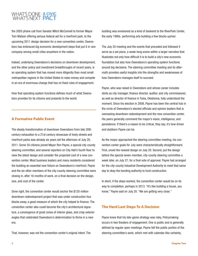the 2005 phone call from Senator Mitch McConnell to former Mayor Tom Watson offering serious federal aid for a riverfront park, to the upcoming 2011 design decision for a new convention center, Owensboro has embraced big economic development steps that put it in rare company among small cities anywhere in the nation.

Indeed, underlying Owensboro's decisions on downtown development, and the other policy and investment breakthroughs of recent years, is an operating system that has moved more diligently than most small metropolitan regions in the United States to raise money and compete in an era of enormous change that has no fixed rules of engagement.

How that operating system functions defines much of what Owensboro provides for its citizens and presents to the world.

#### **A Formative Public Event**

The steady transformation of downtown Owensboro from late 20th century exhaustion to a 21st century showcase of lively streets and riverfront parks was already six years old the afternoon of July 20, 2011. Some 50 citizens joined Mayor Ron Payne, a special city-county steering committee, and several reporters on City Hall's fourth floor to view the latest design and consider the projected cost of a new convention center. Most business leaders and many residents considered the building an essential new fixture on Owensboro's riverfront. Payne and the six other members of the city-county steering committee were closing in, after 16 months of work, on a final decision on the design, size, and cost of the center.

Done right, the convention center would anchor the \$120 million downtown redevelopment project that was under construction four blocks away, a good measure of which the city helped to finance. The convention center also could become the city's architectural signature, a convergence of great zones of interior glass, and crisp exterior angles that celebrated Owensboro's determination to thrive in a new era.

That, however, was not the convention center's original intent. The

building was envisioned as a kind of bookend to the RiverPark Center, the early 1990s performing arts building a few blocks upriver.

The July 20 meeting and the events that preceded and followed it serve as a set piece, a week-long scene within a larger narrative that illustrates not only how difficult it is to build a city's new economic foundation but also how Owensboro's operating system functions around big decisions. The steering committee meeting and its aftermath provides useful insights into the strengths and weaknesses of how Owensboro manages itself to succeed.

Payne, who was raised in Owensboro and whose career includes stints as city manager, finance director, auditor, and city commissioner, as well as director of finance in Tulsa, Oklahoma, fully understood the moment. Since his election in 2008, Payne has been the central hub in the circle of Owensboro's elected officials and opinion leaders that is overseeing downtown redevelopment and the new convention center. His peers generally commend the mayor's vision, intelligence, and persistence. If there's a reason to be critical, they say, it's how driven and stubborn Payne can be.

As the mayor approached the steering committee meeting, his convention center goals for July were characteristically straightforward. First, unveil the newest design on July 20. Second, put the design before the special seven-member, city-county steering committee a week later, on July 27, for a final vote of approval. Payne had arranged for the city-county Industrial Development Authority to meet that same day to okay the bonding authority to fund construction.

In short, if the steps worked, the convention center would be on its way to completion, perhaps in 2013. "It's like building a house, you know," Payne said on July 20. "We are getting very close."

#### **The Hard Last Steps To A Decision**

Payne knew that his late-game strategy was risky. Policymaking occurs in two theaters of engagement. One is public and is generally defined by regular open meetings. Payne felt the public portion of the steering committee's work, which met with calendar-like certainty,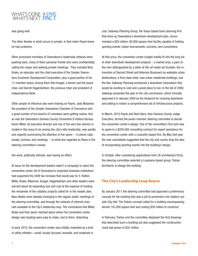was going well.

The other theater is what occurs in private. In that realm Payne knew he had problems.

Other prominent members of Owensboro's leadership network were pushing back, many of them personal friends who were confidentially calling the mayor and seeking private meetings. They included Nick Brake, an educator and the chief executive of the Greater Owensboro Economic Development Corporation, plus a good portion of his 17-member board, among them Rod Kuegel, a farmer and the board chair, and Darrell Higginbotham, the previous chair and president of Independence Bank.

Other people of influence also were leaning on Payne. Jody Wassmer, the president of the Greater Owensboro Chamber of Commerce and a good number of his board's 23 members were getting restive. And so was the Owensboro Daviess County Convention & Visitors Bureau. Karen Miller, its executive director and one of the very few women included in this issue to be among the city's elite leadership, was quietly and urgently summoning the attention of her peers -- in phone calls, emails, lunches, and meetings -- to what she regarded as flaws in the steering committee's review.

Her work, politically delicate, was having an effect.

At issue for the development leaders wasn't a campaign to reject the convention center. All of Owensboro's important business institutions had supported the 2009 tax increase that would pay for it. Rather, Miller, Brake, Wassmer, Kuegel, Higginbotham and other leaders were worried about its expanding size and cost at the expense of funding the remainder of the catalytic projects called for in the master plan. New details were steadily emerging in the regular public meetings of the steering committee, and through the network of internal channels available to the city's leadership loop. The conclusions that Miller, Brake and their peers reached about where the convention center design was heading were easy to make, and to them, disturbing.

In early 2010, the convention center was initially marketed as a kind of utility infielder—small, locally-focused, versatile, and moderate in cost. Gateway Planning Group, the Texas-based town planning firm that drew up Owensboro's downtown development plan, recommended a \$20 million, 80,000 square-foot facility capable of holding sporting events, indoor tournaments, concerts, and conventions.

At that price, the convention center budget readily fit into the long list of other downtown development projects – a market area, a park on the river distinguished by a state-of-the-art water jet fountain, the reinvention of Second Street and Veterans Boulevard as walkable urban destinations, a first-class hotel, new urban residential buildings, and the like. Gateway Planning envisioned a downtown Owensboro that would be exciting to visit and a great place to live. In the fall of 2008, Gateway presented the plan to the city commission, which formally approved it in January 2009 as the blueprint for rezoning downtown and setting in motion a comprehensive list of infrastructure projects.

In March, 2010 Payne and Reid Haire, then Daviess County Judge Executive, formed the seven-member steering committee to decide the convention center's design. One of the committee's first acts was to agree to a \$200,000 consulting contract for expert assistance for the convention center with a Louisville-based firm. By May that year the new consultants suggested that the city and county drop the idea of incorporating sporting events into the building's design.

In October, after considering applications from 26 architecture firms, the steering committee selected a Louisiana-based group, Trahan Architects, to design the building.

#### **The City's Leadership Loop Reacts**

By January 2011 the steering committee had approved a preliminary concept for the building that was a jolt to prominent civic leaders outside City Hall. The Trahan concept called for a building encompassing almost 145,000 square feet and costing \$30 million to construct.

In February, Trahan and the committee displayed the first drawings that described such a building but also suggested the construction costs had grown to \$32 million.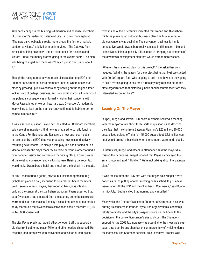With each change in the building's dimension and expense, members of Owensboro's leadership outside of City Hall grew more agitated. "The new park, walkable streets, more shops, the farmers market, outdoor pavilions," said Miller in an interview. "The Gateway Plan stressed building downtown into an experience for residents and visitors. But all the money started going to the events center. The plan was being changed and there wasn't much public discussion about it."

Though the rising numbers were much discussed among EDC and Chamber of Commerce board members, most of whom knew each other by growing up in Owensboro or by serving on the region's interlocking web of college, business, and non-profit boards, all understood the potential consequences of formally raising their concerns with Mayor Payne. In other words, how hard was Owensboro's leadership loop willing to lean on the man currently sitting at its hub in order to compel him to blink?

It was a serious question. Payne had indicated to EDC board members, said several in interviews, that he was prepared to cut city funding to the Centre For Business and Research, a new business incubator overseen by the EDC that was producing new jobs and actively recruiting new tenants. He also put into play, but hadn't acted on, an idea to increase the city's room tax by three percent in order to fund a city-managed visitor and convention marketing office, a direct swipe at the existing convention and visitors bureau. Raising the room tax would make Owensboro's hotel and motel tax the highest in the state.

At first, leaders tried a gentle, private, but insistent approach. Higginbotham placed a call, according to several EDC board members. So did several others. Payne, they reported back, was intent on building the center at the size Trahan proposed. Payne asserted that data Owensboro had amassed from the steering committee's experts warranted such dimensions. The city's consultant conducted a market study that found that Owensboro's convention should measure 98,000 to 143,000 square feet.

The city, Payne predicted, would attract enough traffic to support a big riverfront-gathering place. Miller and other leaders disagreed. Her research, and interviews with convention and visitor bureau executives in and outside Kentucky, indicated that Trahan and Owensboro might be pursuing an outdated business plan. The total number of big conventions was declining. The convention business is highly competitive. Would Owensboro really succeed in filling such a big and expensive building, especially if it resulted in stripping out elements of the downtown development plan that would attract more visitors?

"Where's the marketing plan for this project?" she asked her colleagues. "What is the reason for the project being that big? We started with 90,000 square feet. Who is going to sell it and how are they going to sell it? Who's going to pay for it? Has anybody reached out to the state organizations that historically have annual conferences? Are they interested in coming here?"

#### **Leaning On The Mayor**

In April, Kuegel and several EDC board members secured a meeting with the mayor to talk about these sorts of questions, and describe their fear that moving from Gateway Planning's \$20 million, 90,000 square-foot project to Trahan's 145,000 square-foot, \$32 million concept would prompt a backlash when the numbers were made public.

In interviews, Kuegel and others in attendance said the mayor dismissed their concerns. Kuegel recalled that Payne calmly eyed the small group and said "'Hold on!' We're not talking about the Gateway plan."

It was the last time the EDC met with the mayor, said Kuegel. "We'd gotten as far as putting another meeting on his schedule just a few weeks ago with the EDC and the Chamber of Commerce," said Kuegel in mid-July. "But he called that morning and cancelled."

Meanwhile, the Greater Owensboro Chamber of Commerce also was putting its concerns in front of Payne. The organization's leadership felt its credibility and the city's prospects were on the line with the decision on the convention center's size and cost. The Chamber's support for the 2009 tax increase was essential to the measure's passage, a rare act by any chamber of commerce, few of which endorse tax increases. The Chamber decision, said Executive Director Was-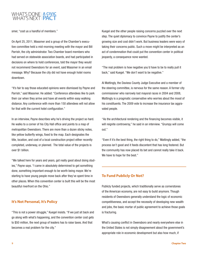smer, "cost us a handful of members."

On April 25, 2011, Wassmer and a group of the Chamber's executive committee held a mid-morning meeting with the mayor and Bill Parrish, the city administrator. Two Chamber board members who had served on statewide association boards, and had participated in decisions on where to hold conferences, told the mayor they would not recommend Owensboro for an event, said Wassmer in an email message. Why? Because the city did not have enough hotel rooms downtown.

"It's fair to say those educated opinions were dismissed by Payne and Parrish," said Wassmer. He added: "Conference attendees like to park their car when they arrive and have all events within easy walking distance. Any conference with more than 150 attendees will not allow for that with the current hotel configuration."

In an interview, Payne describes why he's driving the project so hard. He walks to a corner of his City Hall office and points to a map of metropolitan Owensboro. There are more than a dozen sticky notes, like yellow butterfly wings, fixed to the map. Each designates the title, location, and cost of a local construction project either recently completed, underway, or planned. The total value of the projects is over \$1 billion.

"We talked here for years and years, got really good about doing studies," Payne says. "I came in absolutely determined to get something done, something important enough to be worth being mayor. We're starting to have young people move back after they've spent time in other places. When this convention center is built this will be the most beautiful riverfront on the Ohio."

#### **It's Not Personal, It's Policy**

"This is not a power struggle," Kuegel insists. "If we just sit back and go along with what's happening, and the convention center cost gets to \$50 million, the next group of leaders has to raise taxes. And that becomes a real problem for the city."

Kuegel and the other people raising concerns puzzled over the next step. The quiet diplomacy to convince Payne to justify the center's growing size and cost didn't work. But business leaders were wary of taking their concerns public. Such a move might be interpreted as an act of condemnation that could put the convention center in political jeopardy, a consequence none wanted.

"The real problem is how negative you'd have to be to really pull it back," said Kuegel. "We don't want to be negative."

Al Mattingly, the Daviess County Judge Executive and a member of the steering committee, is nervous for the same reason. A former city commissioner who narrowly lost mayoral races in 2004 and 2008, Mattingly is a pragmatic conservative who worries about the mood of his constituents. The 2009 vote to increase the insurance tax aggravated people.

"As the architectural rendering and the financing becomes visible, it will reignite controversy," he said in an interview. "Grumpy will come out."

"Even if it's the best thing, the right thing to do," Mattingly added, "the process isn't good and it feeds discontent that has long festered. But the community has now placed its bet and cannot really take it back. We have to hope for the best."

#### **To Fund Publicly Or Not?**

Publicly funded projects, which traditionally serve as cornerstones of the American economy, are not easy to build anymore. Though residents of Owensboro generally understand the logic of economic competitiveness, and accept the necessity of developing new wealth and jobs, the basic mortar of public agreement to achieve those goals is fracturing.

What's causing conflict in Owensboro and nearly everywhere else in the United States is not simply disagreement about the government's appropriate role in economic development but also how much, if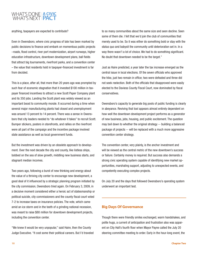anything, taxpayers are expected to contribute?

Even in Owensboro, where civic progress of late has been marked by public decisions to finance and embark on momentous public projects –roads, flood control, river port modernization, airport runways, higher education infrastructure, downtown development plans, ball fields that attract big tournaments, riverfront parks, and a convention center – the value that residents hold in taxpayer-financed investment is far from decided.

This is a place, after all, that more than 20 years ago was prompted by such fear of economic stagnation that it invested \$100 million in taxpayer financed incentives to attract a new Scott Paper Company plant and its 350 jobs. Landing the Scott plant was widely viewed as an important boost to community morale. It occurred during a time when several major manufacturing plants had closed and unemployment was around 13 percent to 14 percent. There was a sense in Owensboro that city leaders needed to "do whatever it takes" to recruit Scott. Bumper stickers, posters in storefronts, and rallies on the riverfront were all part of the campaign and the incentive package involved state assistance as well as local government funds.

But the investment was driven by an obsolete approach to development. Over the next decade the city and county, like listless ships, bobbed on the sea of slow growth, middling new business starts, and stagnant median incomes.

Two years ago, following a burst of new thinking and energy about the value of a thriving city center to encourage new development, a good deal of it influenced by a strategic planning program initiated by the city commission, Owensboro tried again. On February 3, 2009, in a decisive moment considered either a heroic act of statesmanship or political suicide, city commissioners and the county fiscal court voted 7-2 to increase taxes on insurance policies. The vote, which came amid an ice storm and in the teeth of a grinding national recession, was meant to raise \$80 million for downtown development projects, including the convention center.

"We knew it would be very unpopular," said Haire, then the County Judge Executive. "It cost some their political careers. But I'd traveled to so many communities about the same size and seen decline. Seen some of them die. I felt that we'd join the club of communities that merely used to be. So it was either do something bold or stay with the status quo and babysit the community until deterioration set in. In a way there wasn't a lot of choice. We had to do something significant. No doubt that downtown needed to be the target."

Just as Haire predicted, a year later the tax increase emerged as the central issue in local elections. Of the seven officials who approved the hike, just two remain in office; two were defeated and three did not seek reelection. Both of the officials that disapproved were easily elected to the Daviess County Fiscal Court, now dominated by fiscal conservatives.

Owensboro's capacity to generate big pools of public funding is clearly in abeyance. Reviving that tool appears almost entirely dependent on how well the downtown development project performs as a generator of new business, jobs, housing, and public excitement. The question may boil down to whether the original strategy -- building a balanced package of projects -- will be replaced with a much more aggressive convention center strategy.

The convention center, very plainly, is the anchor investment and will be viewed as the central metric of the new downtown's success or failure. Certainly money is required. But success also demands a strong civic operating system capable of identifying new market opportunities, marshaling support, adjusting to unexpected events, and competently executing complex projects.

On July 20 and the days that followed Owensboro's operating system underwent an important test.

#### **Big Days Of Governance**

Though there were friendly smiles exchanged, warm handshakes, and polite hugs, a current of anticipation and frustration also was apparent on City Hall's fourth floor when Mayor Payne called the July 20 steering committee meeting to order. Early in the hour-long event, the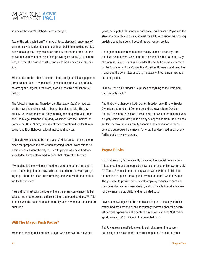source of the room's pitched energy emerged.

Two of the principals from Trahan Architects displayed renderings of an impressive angular steel and aluminum building enfolding contiguous zones of glass. They described publicly for the first time that the convention center's dimensions had grown again, to 169,000 square feet, and that the cost of construction could be as much as \$36 million.

When added to the other expenses – land, design, utilities, equipment, furniture, and fees – Owensboro's convention center would not only be among the largest in the state, it would cost \$47 million to \$49 million.

The following morning, Thursday, the *Messenger-Inquirer* reported on the new size and cost with a banner headline article. The day after, Karen Miller hosted a Friday morning meeting with Nick Brake and Rod Kuegel from the EDC; Jody Wassmer from the Chamber of Commerce; Brian Smith, the chair of the Convention & Visitor Bureau board; and Rick Hobgood, a local investment advisor.

"I thought we needed to be more vocal," Miller said. "I think the one piece that propelled me more than anything is that I want this to be a fair process. I want the city to listen to people who have firsthand knowledge. I was determined to bring that information forward.

"My feeling is the city doesn't need to sign on the dotted line until it has a marketing plan that says who is the audience, how are you going to go about the sales and marketing, and who will do the marketing for this center."

 "We did not meet with the idea of having a press conference," Miller added. "We met to explore different things that could be done. We felt like this was the best thing to do to really raise awareness. It lasted 90 minutes."

#### **Will The Mayor Push Pause?**

When the meeting finished, Rod Kuegel, who's known the mayor for

years, anticipated that a news conference could prompt Payne and the steering committee to pause, at least for a bit, to consider the growing anxiety about the size and cost of the convention center.

Good governance in a democratic society is about flexibility. Communities need leaders who stand up for principles but not in the way of progress. Payne is a capable leader. Kuegel felt a news conference by the Chamber and the Convention & Visitors Bureau would send the mayor and the committee a strong message without embarrassing or cornering them.

"I know Ron," said Kuegel. "He pushes everything to the limit, and then he pulls back."

And that's what happened. At noon on Tuesday, July 26, the Greater Owensboro Chamber of Commerce and the Owensboro-Daviess County Convention & Visitors Bureau held a news conference that was a highly visible and rare public display of opposition from the business sector. The two groups strongly endorsed the convention center in concept, but rebuked the mayor for what they described as an overly furtive design review process.

#### **Payne Blinks**

Hours afterward, Payne abruptly cancelled the special review committee meeting and announced a news conference of his own for July 27. There, Payne said that the city would work with the Public Life Foundation to sponsor three public events the fourth week of August. The purpose: to provide citizens with ample opportunity to consider the convention center's new design, and for the city to make its case for the center's size, utility, and anticipated cost.

Payne acknowledged that he and his colleagues in the city administration had not kept the public adequately informed about the nearly 90 percent expansion in the center's dimensions and the \$30 million spurt, to nearly \$50 million, in the projected cost.

But Payne, ever steadfast, vowed to gain closure on the convention design and move to the construction phase. He said the steer-